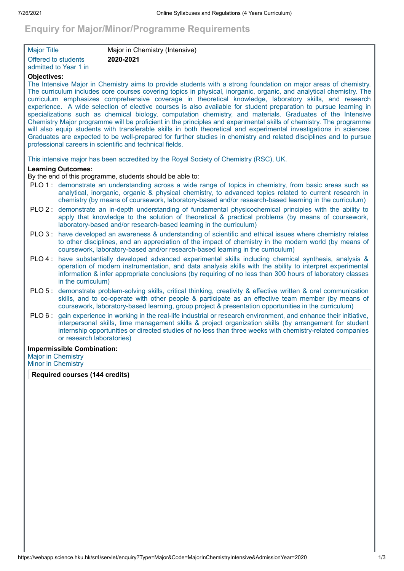# **Enquiry for Major/Minor/Programme Requirements**

| <b>Major Title</b>         | Major in Chemistry (Intensive) |
|----------------------------|--------------------------------|
| <b>Offered to students</b> | 2020-2021                      |
| admitted to Year 1 in      |                                |

## **Objectives:**

The Intensive Major in Chemistry aims to provide students with a strong foundation on major areas of chemistry. The curriculum includes core courses covering topics in physical, inorganic, organic, and analytical chemistry. The curriculum emphasizes comprehensive coverage in theoretical knowledge, laboratory skills, and research experience. A wide selection of elective courses is also available for student preparation to pursue learning in specializations such as chemical biology, computation chemistry, and materials. Graduates of the Intensive Chemistry Major programme will be proficient in the principles and experimental skills of chemistry. The programme will also equip students with transferable skills in both theoretical and experimental investigations in sciences. Graduates are expected to be well-prepared for further studies in chemistry and related disciplines and to pursue professional careers in scientific and technical fields.

This intensive major has been accredited by the Royal Society of Chemistry (RSC), UK.

## **Learning Outcomes:**

By the end of this programme, students should be able to:

- PLO 1 : demonstrate an understanding across a wide range of topics in chemistry, from basic areas such as analytical, inorganic, organic & physical chemistry, to advanced topics related to current research in chemistry (by means of coursework, laboratory-based and/or research-based learning in the curriculum)
- PLO 2 : demonstrate an in-depth understanding of fundamental physicochemical principles with the ability to apply that knowledge to the solution of theoretical & practical problems (by means of coursework, laboratory-based and/or research-based learning in the curriculum)
- PLO 3 : have developed an awareness & understanding of scientific and ethical issues where chemistry relates to other disciplines, and an appreciation of the impact of chemistry in the modern world (by means of coursework, laboratory-based and/or research-based learning in the curriculum)
- PLO 4 : have substantially developed advanced experimental skills including chemical synthesis, analysis & operation of modern instrumentation, and data analysis skills with the ability to interpret experimental information & infer appropriate conclusions (by requiring of no less than 300 hours of laboratory classes in the curriculum)
- PLO 5 : demonstrate problem-solving skills, critical thinking, creativity & effective written & oral communication skills, and to co-operate with other people & participate as an effective team member (by means of coursework, laboratory-based learning, group project & presentation opportunities in the curriculum)
- PLO 6 : gain experience in working in the real-life industrial or research environment, and enhance their initiative, interpersonal skills, time management skills & project organization skills (by arrangement for student internship opportunities or directed studies of no less than three weeks with chemistry-related companies or research laboratories)

### **Impermissible Combination:**

Major in Chemistry Minor in Chemistry

**Required courses (144 credits)**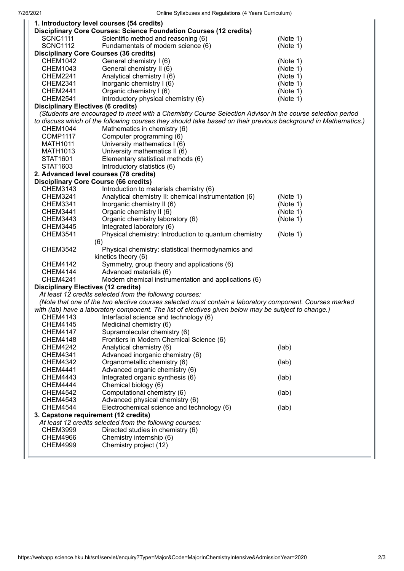| 1. Introductory level courses (54 credits)                                                                |                                                                                                                |          |  |
|-----------------------------------------------------------------------------------------------------------|----------------------------------------------------------------------------------------------------------------|----------|--|
|                                                                                                           | <b>Disciplinary Core Courses: Science Foundation Courses (12 credits)</b>                                      |          |  |
| <b>SCNC1111</b>                                                                                           | Scientific method and reasoning (6)                                                                            | (Note 1) |  |
| <b>SCNC1112</b>                                                                                           | Fundamentals of modern science (6)                                                                             | (Note 1) |  |
|                                                                                                           | <b>Disciplinary Core Courses (36 credits)</b>                                                                  |          |  |
| <b>CHEM1042</b>                                                                                           | General chemistry I (6)                                                                                        | (Note 1) |  |
| <b>CHEM1043</b>                                                                                           | General chemistry II (6)                                                                                       | (Note 1) |  |
| CHEM2241                                                                                                  | Analytical chemistry I (6)                                                                                     | (Note 1) |  |
| <b>CHEM2341</b>                                                                                           | Inorganic chemistry I (6)                                                                                      | (Note 1) |  |
| <b>CHEM2441</b>                                                                                           | Organic chemistry I (6)                                                                                        | (Note 1) |  |
| <b>CHEM2541</b>                                                                                           | Introductory physical chemistry (6)                                                                            | (Note 1) |  |
| <b>Disciplinary Electives (6 credits)</b>                                                                 |                                                                                                                |          |  |
| (Students are encouraged to meet with a Chemistry Course Selection Advisor in the course selection period |                                                                                                                |          |  |
|                                                                                                           | to discuss which of the following courses they should take based on their previous background in Mathematics.) |          |  |
| CHEM1044                                                                                                  | Mathematics in chemistry (6)                                                                                   |          |  |
| <b>COMP1117</b>                                                                                           | Computer programming (6)                                                                                       |          |  |
| <b>MATH1011</b>                                                                                           | University mathematics I (6)                                                                                   |          |  |
| MATH1013                                                                                                  | University mathematics II (6)                                                                                  |          |  |
| STAT1601                                                                                                  | Elementary statistical methods (6)                                                                             |          |  |
| STAT1603                                                                                                  | Introductory statistics (6)                                                                                    |          |  |
| 2. Advanced level courses (78 credits)                                                                    |                                                                                                                |          |  |
| <b>Disciplinary Core Course (66 credits)</b>                                                              |                                                                                                                |          |  |
| <b>CHEM3143</b>                                                                                           | Introduction to materials chemistry (6)                                                                        |          |  |
| <b>CHEM3241</b>                                                                                           | Analytical chemistry II: chemical instrumentation (6)                                                          | (Note 1) |  |
| CHEM3341                                                                                                  | Inorganic chemistry II (6)                                                                                     | (Note 1) |  |
| <b>CHEM3441</b>                                                                                           | Organic chemistry II (6)                                                                                       | (Note 1) |  |
| <b>CHEM3443</b>                                                                                           | Organic chemistry laboratory (6)                                                                               | (Note 1) |  |
| <b>CHEM3445</b>                                                                                           | Integrated laboratory (6)                                                                                      |          |  |
| <b>CHEM3541</b>                                                                                           | Physical chemistry: Introduction to quantum chemistry                                                          | (Note 1) |  |
|                                                                                                           | (6)                                                                                                            |          |  |
| <b>CHEM3542</b>                                                                                           | Physical chemistry: statistical thermodynamics and                                                             |          |  |
|                                                                                                           | kinetics theory (6)                                                                                            |          |  |
| <b>CHEM4142</b>                                                                                           | Symmetry, group theory and applications (6)                                                                    |          |  |
| <b>CHEM4144</b>                                                                                           | Advanced materials (6)                                                                                         |          |  |
| <b>CHEM4241</b>                                                                                           | Modern chemical instrumentation and applications (6)                                                           |          |  |
| <b>Disciplinary Electives (12 credits)</b>                                                                |                                                                                                                |          |  |
| At least 12 credits selected from the following courses:                                                  |                                                                                                                |          |  |
| (Note that one of the two elective courses selected must contain a laboratory component. Courses marked   |                                                                                                                |          |  |
| with (lab) have a laboratory component. The list of electives given below may be subject to change.)      |                                                                                                                |          |  |
| CHEM4143                                                                                                  | Interfacial science and technology (6)                                                                         |          |  |
| <b>CHEM4145</b>                                                                                           | Medicinal chemistry (6)                                                                                        |          |  |
| <b>CHEM4147</b>                                                                                           | Supramolecular chemistry (6)                                                                                   |          |  |
| <b>CHEM4148</b>                                                                                           | Frontiers in Modern Chemical Science (6)                                                                       |          |  |
| <b>CHEM4242</b>                                                                                           | Analytical chemistry (6)                                                                                       | (lab)    |  |
| <b>CHEM4341</b>                                                                                           | Advanced inorganic chemistry (6)                                                                               |          |  |
| <b>CHEM4342</b>                                                                                           | Organometallic chemistry (6)                                                                                   | (lab)    |  |
| <b>CHEM4441</b>                                                                                           | Advanced organic chemistry (6)                                                                                 |          |  |
| <b>CHEM4443</b>                                                                                           | Integrated organic synthesis (6)                                                                               | (lab)    |  |
| CHEM4444                                                                                                  | Chemical biology (6)                                                                                           |          |  |
| <b>CHEM4542</b>                                                                                           | Computational chemistry (6)                                                                                    | (lab)    |  |
| <b>CHEM4543</b>                                                                                           | Advanced physical chemistry (6)                                                                                |          |  |
| <b>CHEM4544</b>                                                                                           | Electrochemical science and technology (6)                                                                     | (lab)    |  |
| 3. Capstone requirement (12 credits)                                                                      |                                                                                                                |          |  |
|                                                                                                           | At least 12 credits selected from the following courses:                                                       |          |  |
| <b>CHEM3999</b>                                                                                           | Directed studies in chemistry (6)                                                                              |          |  |
| <b>CHEM4966</b>                                                                                           | Chemistry internship (6)                                                                                       |          |  |
| <b>CHEM4999</b>                                                                                           | Chemistry project (12)                                                                                         |          |  |
|                                                                                                           |                                                                                                                |          |  |